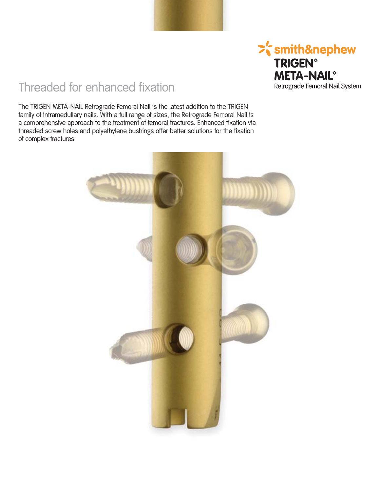

## Threaded for enhanced fixation

The TRIGEN META-NAIL Retrograde Femoral Nail is the latest addition to the TRIGEN family of intramedullary nails. With a full range of sizes, the Retrograde Femoral Nail is a comprehensive approach to the treatment of femoral fractures. Enhanced fixation via threaded screw holes and polyethylene bushings offer better solutions for the fixation of complex fractures.